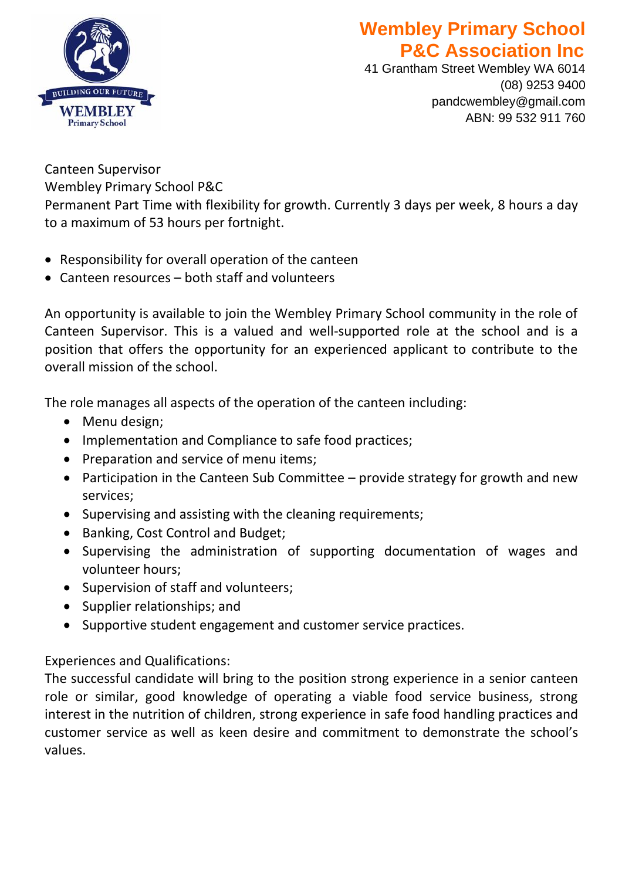

## **Wembley Primary School P&C Association Inc**

41 Grantham Street Wembley WA 6014 (08) 9253 9400 pandcwembley@gmail.com ABN: 99 532 911 760

Canteen Supervisor Wembley Primary School P&C Permanent Part Time with flexibility for growth. Currently 3 days per week, 8 hours a day to a maximum of 53 hours per fortnight.

- Responsibility for overall operation of the canteen
- Canteen resources both staff and volunteers

An opportunity is available to join the Wembley Primary School community in the role of Canteen Supervisor. This is a valued and well-supported role at the school and is a position that offers the opportunity for an experienced applicant to contribute to the overall mission of the school.

The role manages all aspects of the operation of the canteen including:

- Menu design;
- Implementation and Compliance to safe food practices;
- Preparation and service of menu items;
- Participation in the Canteen Sub Committee provide strategy for growth and new services;
- Supervising and assisting with the cleaning requirements;
- Banking, Cost Control and Budget;
- Supervising the administration of supporting documentation of wages and volunteer hours;
- Supervision of staff and volunteers;
- Supplier relationships; and
- Supportive student engagement and customer service practices.

Experiences and Qualifications:

The successful candidate will bring to the position strong experience in a senior canteen role or similar, good knowledge of operating a viable food service business, strong interest in the nutrition of children, strong experience in safe food handling practices and customer service as well as keen desire and commitment to demonstrate the school's values.